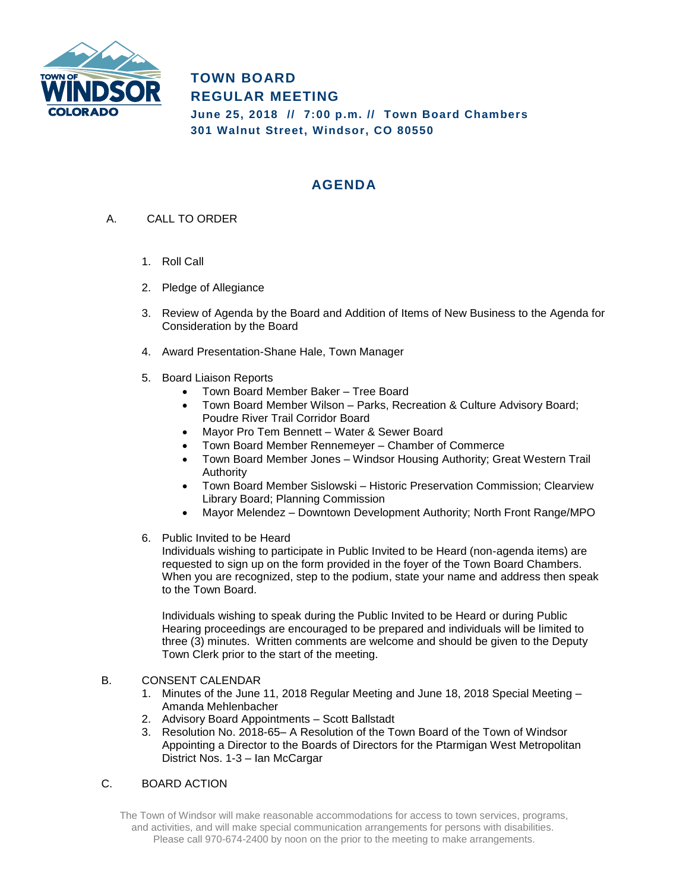

**TOWN BOARD REGULAR MEETING June 25, 2018 // 7:00 p.m. // Town Board Chambers 301 Walnut Street, Windsor, CO 80550**

## **AGENDA**

- A. CALL TO ORDER
	- 1. Roll Call
	- 2. Pledge of Allegiance
	- 3. Review of Agenda by the Board and Addition of Items of New Business to the Agenda for Consideration by the Board
	- 4. Award Presentation-Shane Hale, Town Manager
	- 5. Board Liaison Reports
		- Town Board Member Baker Tree Board
		- Town Board Member Wilson Parks, Recreation & Culture Advisory Board; Poudre River Trail Corridor Board
		- Mayor Pro Tem Bennett Water & Sewer Board
		- Town Board Member Rennemeyer Chamber of Commerce
		- Town Board Member Jones Windsor Housing Authority; Great Western Trail Authority
		- Town Board Member Sislowski Historic Preservation Commission; Clearview Library Board; Planning Commission
		- Mayor Melendez Downtown Development Authority; North Front Range/MPO
	- 6. Public Invited to be Heard

Individuals wishing to participate in Public Invited to be Heard (non-agenda items) are requested to sign up on the form provided in the foyer of the Town Board Chambers. When you are recognized, step to the podium, state your name and address then speak to the Town Board.

Individuals wishing to speak during the Public Invited to be Heard or during Public Hearing proceedings are encouraged to be prepared and individuals will be limited to three (3) minutes. Written comments are welcome and should be given to the Deputy Town Clerk prior to the start of the meeting.

## B. CONSENT CALENDAR

- 1. Minutes of the June 11, 2018 Regular Meeting and June 18, 2018 Special Meeting Amanda Mehlenbacher
- 2. Advisory Board Appointments Scott Ballstadt
- 3. Resolution No. 2018-65– A Resolution of the Town Board of the Town of Windsor Appointing a Director to the Boards of Directors for the Ptarmigan West Metropolitan District Nos. 1-3 – Ian McCargar

## C. BOARD ACTION

The Town of Windsor will make reasonable accommodations for access to town services, programs, and activities, and will make special communication arrangements for persons with disabilities. Please call 970-674-2400 by noon on the prior to the meeting to make arrangements.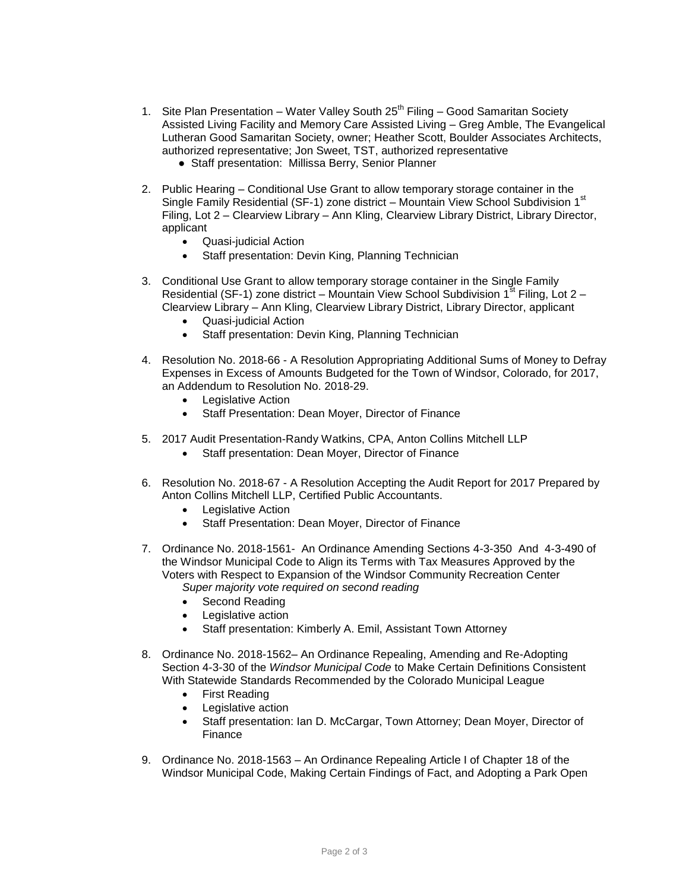- 1. Site Plan Presentation Water Valley South  $25<sup>th</sup>$  Filing Good Samaritan Society Assisted Living Facility and Memory Care Assisted Living – Greg Amble, The Evangelical Lutheran Good Samaritan Society, owner; Heather Scott, Boulder Associates Architects, authorized representative; Jon Sweet, TST, authorized representative ● Staff presentation: Millissa Berry, Senior Planner
	-
- 2. Public Hearing Conditional Use Grant to allow temporary storage container in the Single Family Residential (SF-1) zone district - Mountain View School Subdivision 1<sup>st</sup> Filing, Lot 2 – Clearview Library – Ann Kling, Clearview Library District, Library Director, applicant
	- Quasi-judicial Action
	- Staff presentation: Devin King, Planning Technician
- 3. Conditional Use Grant to allow temporary storage container in the Single Family Residential (SF-1) zone district – Mountain View School Subdivision  $1<sup>st</sup>$  Filing, Lot 2 – Clearview Library – Ann Kling, Clearview Library District, Library Director, applicant
	- Quasi-judicial Action
	- Staff presentation: Devin King, Planning Technician
- 4. Resolution No. 2018-66 A Resolution Appropriating Additional Sums of Money to Defray Expenses in Excess of Amounts Budgeted for the Town of Windsor, Colorado, for 2017, an Addendum to Resolution No. 2018-29.
	- Legislative Action
	- Staff Presentation: Dean Moyer, Director of Finance
- 5. 2017 Audit Presentation-Randy Watkins, CPA, Anton Collins Mitchell LLP
	- Staff presentation: Dean Moyer, Director of Finance
- 6. Resolution No. 2018-67 A Resolution Accepting the Audit Report for 2017 Prepared by Anton Collins Mitchell LLP, Certified Public Accountants.
	- Legislative Action
	- Staff Presentation: Dean Moyer, Director of Finance
- 7. Ordinance No. 2018-1561- An Ordinance Amending Sections 4-3-350 And 4-3-490 of the Windsor Municipal Code to Align its Terms with Tax Measures Approved by the Voters with Respect to Expansion of the Windsor Community Recreation Center *Super majority vote required on second reading*
	- Second Reading
	- Legislative action
	- Staff presentation: Kimberly A. Emil, Assistant Town Attorney
- 8. Ordinance No. 2018-1562– An Ordinance Repealing, Amending and Re-Adopting Section 4-3-30 of the *Windsor Municipal Code* to Make Certain Definitions Consistent With Statewide Standards Recommended by the Colorado Municipal League
	- First Reading
	- Legislative action
	- Staff presentation: Ian D. McCargar, Town Attorney; Dean Moyer, Director of Finance
- 9. Ordinance No. 2018-1563 An Ordinance Repealing Article I of Chapter 18 of the Windsor Municipal Code, Making Certain Findings of Fact, and Adopting a Park Open